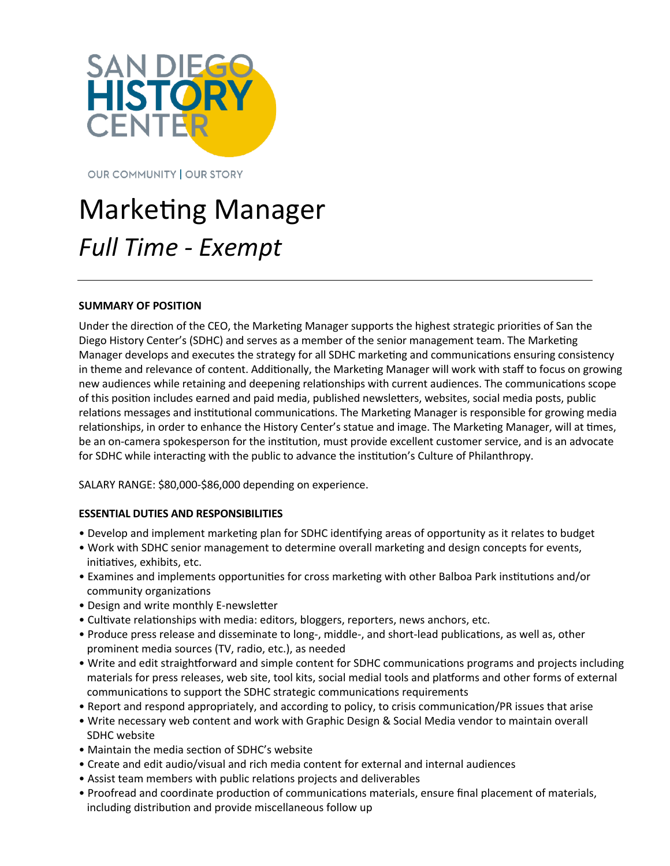

**OUR COMMUNITY | OUR STORY** 

# Marketing Manager *Full Time - Exempt*

#### **SUMMARY OF POSITION**

Under the direction of the CEO, the Marketing Manager supports the highest strategic priorities of San the Diego History Center's (SDHC) and serves as a member of the senior management team. The Marketing Manager develops and executes the strategy for all SDHC marketing and communications ensuring consistency in theme and relevance of content. Additionally, the Marketing Manager will work with staff to focus on growing new audiences while retaining and deepening relationships with current audiences. The communications scope of this position includes earned and paid media, published newsletters, websites, social media posts, public relations messages and institutional communications. The Marketing Manager is responsible for growing media relationships, in order to enhance the History Center's statue and image. The Marketing Manager, will at times, be an on-camera spokesperson for the institution, must provide excellent customer service, and is an advocate for SDHC while interacting with the public to advance the institution's Culture of Philanthropy.

SALARY RANGE: \$80,000-\$86,000 depending on experience.

#### **ESSENTIAL DUTIES AND RESPONSIBILITIES**

- Develop and implement marketing plan for SDHC identifying areas of opportunity as it relates to budget
- Work with SDHC senior management to determine overall marketing and design concepts for events, initiatives, exhibits, etc.
- Examines and implements opportunities for cross marketing with other Balboa Park institutions and/or community organizations
- Design and write monthly E-newsletter
- Cultivate relationships with media: editors, bloggers, reporters, news anchors, etc.
- Produce press release and disseminate to long-, middle-, and short-lead publications, as well as, other prominent media sources (TV, radio, etc.), as needed
- Write and edit straightforward and simple content for SDHC communications programs and projects including materials for press releases, web site, tool kits, social medial tools and platforms and other forms of external communications to support the SDHC strategic communications requirements
- Report and respond appropriately, and according to policy, to crisis communication/PR issues that arise
- Write necessary web content and work with Graphic Design & Social Media vendor to maintain overall SDHC website
- Maintain the media section of SDHC's website
- Create and edit audio/visual and rich media content for external and internal audiences
- Assist team members with public relations projects and deliverables
- Proofread and coordinate production of communications materials, ensure final placement of materials, including distribution and provide miscellaneous follow up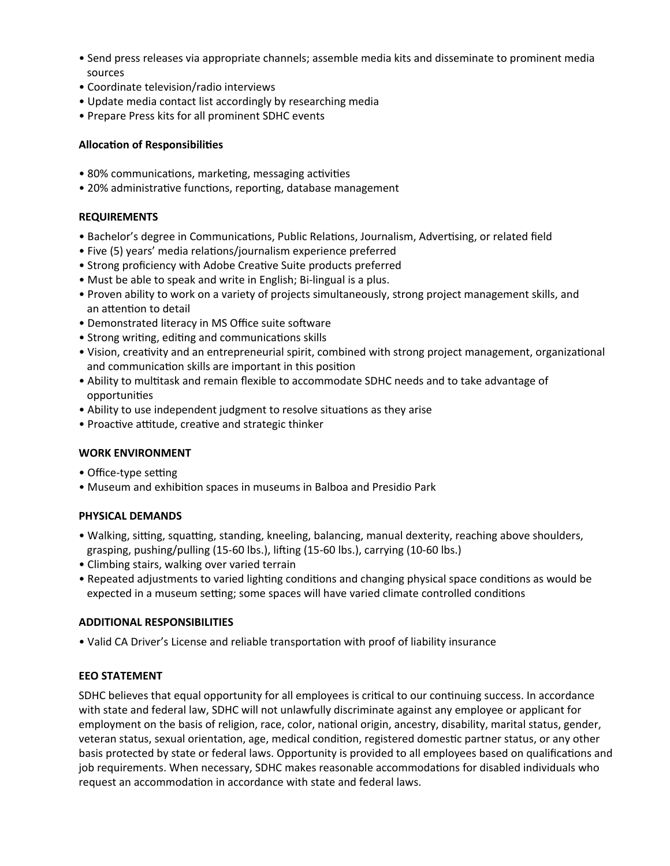- Send press releases via appropriate channels; assemble media kits and disseminate to prominent media sources
- Coordinate television/radio interviews
- Update media contact list accordingly by researching media
- Prepare Press kits for all prominent SDHC events

### **Allocation of Responsibilities**

- 80% communications, marketing, messaging activities
- 20% administrative functions, reporting, database management

## **REQUIREMENTS**

- Bachelor's degree in Communications, Public Relations, Journalism, Advertising, or related field
- Five (5) years' media relations/journalism experience preferred
- Strong proficiency with Adobe Creative Suite products preferred
- Must be able to speak and write in English; Bi-lingual is a plus.
- Proven ability to work on a variety of projects simultaneously, strong project management skills, and an attention to detail
- Demonstrated literacy in MS Office suite software
- Strong writing, editing and communications skills
- Vision, creativity and an entrepreneurial spirit, combined with strong project management, organizational and communication skills are important in this position
- Ability to multitask and remain flexible to accommodate SDHC needs and to take advantage of opportunities
- Ability to use independent judgment to resolve situations as they arise
- Proactive attitude, creative and strategic thinker

#### **WORK ENVIRONMENT**

- Office-type setting
- Museum and exhibition spaces in museums in Balboa and Presidio Park

#### **PHYSICAL DEMANDS**

- Walking, sitting, squatting, standing, kneeling, balancing, manual dexterity, reaching above shoulders, grasping, pushing/pulling (15-60 lbs.), lifting (15-60 lbs.), carrying (10-60 lbs.)
- Climbing stairs, walking over varied terrain
- Repeated adjustments to varied lighting conditions and changing physical space conditions as would be expected in a museum setting; some spaces will have varied climate controlled conditions

#### **ADDITIONAL RESPONSIBILITIES**

• Valid CA Driver's License and reliable transportation with proof of liability insurance

# **EEO STATEMENT**

SDHC believes that equal opportunity for all employees is critical to our continuing success. In accordance with state and federal law, SDHC will not unlawfully discriminate against any employee or applicant for employment on the basis of religion, race, color, national origin, ancestry, disability, marital status, gender, veteran status, sexual orientation, age, medical condition, registered domestic partner status, or any other basis protected by state or federal laws. Opportunity is provided to all employees based on qualifications and job requirements. When necessary, SDHC makes reasonable accommodations for disabled individuals who request an accommodation in accordance with state and federal laws.